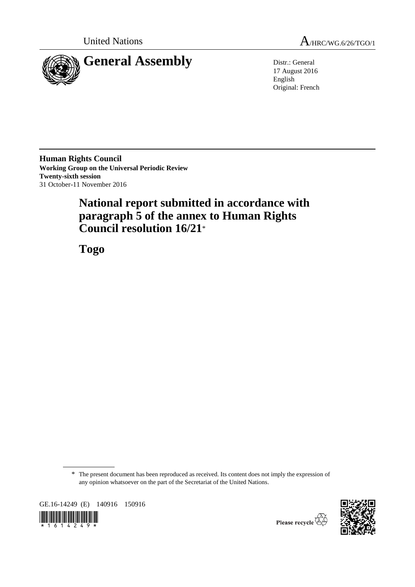

United Nations  $A_{HRC/WG.6/26/TGO/1}$ 

17 August 2016 English Original: French

**Human Rights Council Working Group on the Universal Periodic Review Twenty-sixth session** 31 October-11 November 2016

# **National report submitted in accordance with paragraph 5 of the annex to Human Rights Council resolution 16/21**\*

**Togo**

\* The present document has been reproduced as received. Its content does not imply the expression of any opinion whatsoever on the part of the Secretariat of the United Nations.

GE.16-14249 (E) 140916 150916





Please recycle  $\overline{\mathcal{L}}$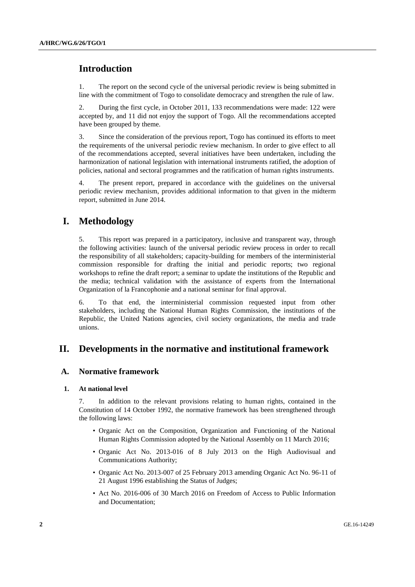# **Introduction**

1. The report on the second cycle of the universal periodic review is being submitted in line with the commitment of Togo to consolidate democracy and strengthen the rule of law.

2. During the first cycle, in October 2011, 133 recommendations were made: 122 were accepted by, and 11 did not enjoy the support of Togo. All the recommendations accepted have been grouped by theme.

3. Since the consideration of the previous report, Togo has continued its efforts to meet the requirements of the universal periodic review mechanism. In order to give effect to all of the recommendations accepted, several initiatives have been undertaken, including the harmonization of national legislation with international instruments ratified, the adoption of policies, national and sectoral programmes and the ratification of human rights instruments.

4. The present report, prepared in accordance with the guidelines on the universal periodic review mechanism, provides additional information to that given in the midterm report, submitted in June 2014.

# **I. Methodology**

5. This report was prepared in a participatory, inclusive and transparent way, through the following activities: launch of the universal periodic review process in order to recall the responsibility of all stakeholders; capacity-building for members of the interministerial commission responsible for drafting the initial and periodic reports; two regional workshops to refine the draft report; a seminar to update the institutions of the Republic and the media; technical validation with the assistance of experts from the International Organization of la Francophonie and a national seminar for final approval.

6. To that end, the interministerial commission requested input from other stakeholders, including the National Human Rights Commission, the institutions of the Republic, the United Nations agencies, civil society organizations, the media and trade unions.

# **II. Developments in the normative and institutional framework**

### **A. Normative framework**

#### **1. At national level**

7. In addition to the relevant provisions relating to human rights, contained in the Constitution of 14 October 1992, the normative framework has been strengthened through the following laws:

- Organic Act on the Composition, Organization and Functioning of the National Human Rights Commission adopted by the National Assembly on 11 March 2016;
- Organic Act No. 2013-016 of 8 July 2013 on the High Audiovisual and Communications Authority;
- Organic Act No. 2013-007 of 25 February 2013 amending Organic Act No. 96-11 of 21 August 1996 establishing the Status of Judges;
- Act No. 2016-006 of 30 March 2016 on Freedom of Access to Public Information and Documentation;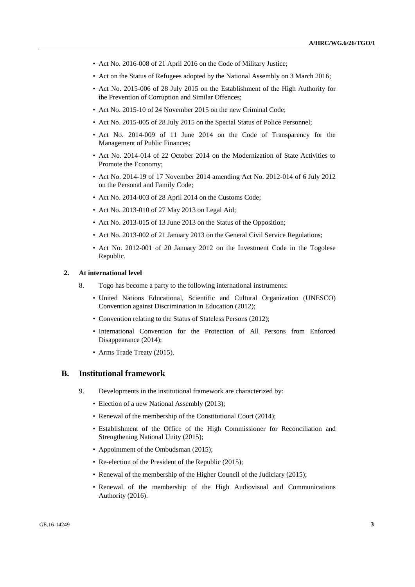- Act No. 2016-008 of 21 April 2016 on the Code of Military Justice;
- Act on the Status of Refugees adopted by the National Assembly on 3 March 2016;
- Act No. 2015-006 of 28 July 2015 on the Establishment of the High Authority for the Prevention of Corruption and Similar Offences;
- Act No. 2015-10 of 24 November 2015 on the new Criminal Code;
- Act No. 2015-005 of 28 July 2015 on the Special Status of Police Personnel;
- Act No. 2014-009 of 11 June 2014 on the Code of Transparency for the Management of Public Finances;
- Act No. 2014-014 of 22 October 2014 on the Modernization of State Activities to Promote the Economy;
- Act No. 2014-19 of 17 November 2014 amending Act No. 2012-014 of 6 July 2012 on the Personal and Family Code;
- Act No. 2014-003 of 28 April 2014 on the Customs Code;
- Act No. 2013-010 of 27 May 2013 on Legal Aid;
- Act No. 2013-015 of 13 June 2013 on the Status of the Opposition;
- Act No. 2013-002 of 21 January 2013 on the General Civil Service Regulations;
- Act No. 2012-001 of 20 January 2012 on the Investment Code in the Togolese Republic.

### **2. At international level**

- 8. Togo has become a party to the following international instruments:
	- United Nations Educational, Scientific and Cultural Organization (UNESCO) Convention against Discrimination in Education (2012);
	- Convention relating to the Status of Stateless Persons (2012);
	- International Convention for the Protection of All Persons from Enforced Disappearance (2014);
	- Arms Trade Treaty (2015).

#### **B. Institutional framework**

- 9. Developments in the institutional framework are characterized by:
	- Election of a new National Assembly (2013);
	- Renewal of the membership of the Constitutional Court (2014);
	- Establishment of the Office of the High Commissioner for Reconciliation and Strengthening National Unity (2015);
	- Appointment of the Ombudsman (2015);
	- Re-election of the President of the Republic (2015);
	- Renewal of the membership of the Higher Council of the Judiciary (2015);
	- Renewal of the membership of the High Audiovisual and Communications Authority (2016).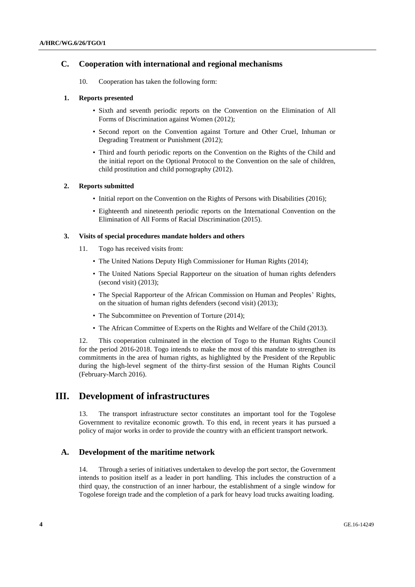### **C. Cooperation with international and regional mechanisms**

10. Cooperation has taken the following form:

### **1. Reports presented**

- Sixth and seventh periodic reports on the Convention on the Elimination of All Forms of Discrimination against Women (2012);
- Second report on the Convention against Torture and Other Cruel, Inhuman or Degrading Treatment or Punishment (2012);
- Third and fourth periodic reports on the Convention on the Rights of the Child and the initial report on the Optional Protocol to the Convention on the sale of children, child prostitution and child pornography (2012).

#### **2. Reports submitted**

- Initial report on the Convention on the Rights of Persons with Disabilities (2016);
- Eighteenth and nineteenth periodic reports on the International Convention on the Elimination of All Forms of Racial Discrimination (2015).

### **3. Visits of special procedures mandate holders and others**

- 11. Togo has received visits from:
	- The United Nations Deputy High Commissioner for Human Rights (2014);
	- The United Nations Special Rapporteur on the situation of human rights defenders (second visit) (2013);
	- The Special Rapporteur of the African Commission on Human and Peoples' Rights, on the situation of human rights defenders (second visit) (2013);
	- The Subcommittee on Prevention of Torture (2014);
	- The African Committee of Experts on the Rights and Welfare of the Child (2013).

12. This cooperation culminated in the election of Togo to the Human Rights Council for the period 2016-2018. Togo intends to make the most of this mandate to strengthen its commitments in the area of human rights, as highlighted by the President of the Republic during the high-level segment of the thirty-first session of the Human Rights Council (February-March 2016).

# **III. Development of infrastructures**

13. The transport infrastructure sector constitutes an important tool for the Togolese Government to revitalize economic growth. To this end, in recent years it has pursued a policy of major works in order to provide the country with an efficient transport network.

### **A. Development of the maritime network**

14. Through a series of initiatives undertaken to develop the port sector, the Government intends to position itself as a leader in port handling. This includes the construction of a third quay, the construction of an inner harbour, the establishment of a single window for Togolese foreign trade and the completion of a park for heavy load trucks awaiting loading.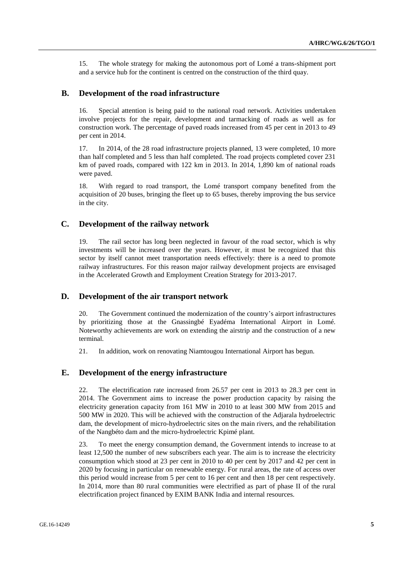15. The whole strategy for making the autonomous port of Lomé a trans-shipment port and a service hub for the continent is centred on the construction of the third quay.

### **B. Development of the road infrastructure**

16. Special attention is being paid to the national road network. Activities undertaken involve projects for the repair, development and tarmacking of roads as well as for construction work. The percentage of paved roads increased from 45 per cent in 2013 to 49 per cent in 2014.

17. In 2014, of the 28 road infrastructure projects planned, 13 were completed, 10 more than half completed and 5 less than half completed. The road projects completed cover 231 km of paved roads, compared with 122 km in 2013. In 2014, 1,890 km of national roads were paved.

18. With regard to road transport, the Lomé transport company benefited from the acquisition of 20 buses, bringing the fleet up to 65 buses, thereby improving the bus service in the city.

### **C. Development of the railway network**

19. The rail sector has long been neglected in favour of the road sector, which is why investments will be increased over the years. However, it must be recognized that this sector by itself cannot meet transportation needs effectively: there is a need to promote railway infrastructures. For this reason major railway development projects are envisaged in the Accelerated Growth and Employment Creation Strategy for 2013-2017.

### **D. Development of the air transport network**

20. The Government continued the modernization of the country's airport infrastructures by prioritizing those at the Gnassingbé Eyadéma International Airport in Lomé. Noteworthy achievements are work on extending the airstrip and the construction of a new terminal.

21. In addition, work on renovating Niamtougou International Airport has begun.

### **E. Development of the energy infrastructure**

22. The electrification rate increased from 26.57 per cent in 2013 to 28.3 per cent in 2014. The Government aims to increase the power production capacity by raising the electricity generation capacity from 161 MW in 2010 to at least 300 MW from 2015 and 500 MW in 2020. This will be achieved with the construction of the Adjarala hydroelectric dam, the development of micro-hydroelectric sites on the main rivers, and the rehabilitation of the Nangbéto dam and the micro-hydroelectric Kpimé plant.

23. To meet the energy consumption demand, the Government intends to increase to at least 12,500 the number of new subscribers each year. The aim is to increase the electricity consumption which stood at 23 per cent in 2010 to 40 per cent by 2017 and 42 per cent in 2020 by focusing in particular on renewable energy. For rural areas, the rate of access over this period would increase from 5 per cent to 16 per cent and then 18 per cent respectively. In 2014, more than 80 rural communities were electrified as part of phase II of the rural electrification project financed by EXIM BANK India and internal resources.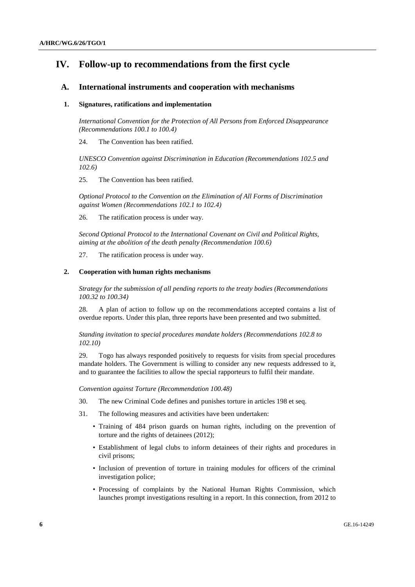# **IV. Follow-up to recommendations from the first cycle**

### **A. International instruments and cooperation with mechanisms**

#### **1. Signatures, ratifications and implementation**

*International Convention for the Protection of All Persons from Enforced Disappearance (Recommendations 100.1 to 100.4)*

24. The Convention has been ratified.

*UNESCO Convention against Discrimination in Education (Recommendations 102.5 and 102.6)*

25. The Convention has been ratified.

*Optional Protocol to the Convention on the Elimination of All Forms of Discrimination against Women (Recommendations 102.1 to 102.4)*

26. The ratification process is under way.

*Second Optional Protocol to the International Covenant on Civil and Political Rights, aiming at the abolition of the death penalty (Recommendation 100.6)*

27. The ratification process is under way.

#### **2. Cooperation with human rights mechanisms**

*Strategy for the submission of all pending reports to the treaty bodies (Recommendations 100.32 to 100.34)*

28. A plan of action to follow up on the recommendations accepted contains a list of overdue reports. Under this plan, three reports have been presented and two submitted.

*Standing invitation to special procedures mandate holders (Recommendations 102.8 to 102.10)*

29. Togo has always responded positively to requests for visits from special procedures mandate holders. The Government is willing to consider any new requests addressed to it, and to guarantee the facilities to allow the special rapporteurs to fulfil their mandate.

*Convention against Torture (Recommendation 100.48)*

- 30. The new Criminal Code defines and punishes torture in articles 198 et seq.
- 31. The following measures and activities have been undertaken:
	- Training of 484 prison guards on human rights, including on the prevention of torture and the rights of detainees (2012);
	- Establishment of legal clubs to inform detainees of their rights and procedures in civil prisons;
	- Inclusion of prevention of torture in training modules for officers of the criminal investigation police;
	- Processing of complaints by the National Human Rights Commission, which launches prompt investigations resulting in a report. In this connection, from 2012 to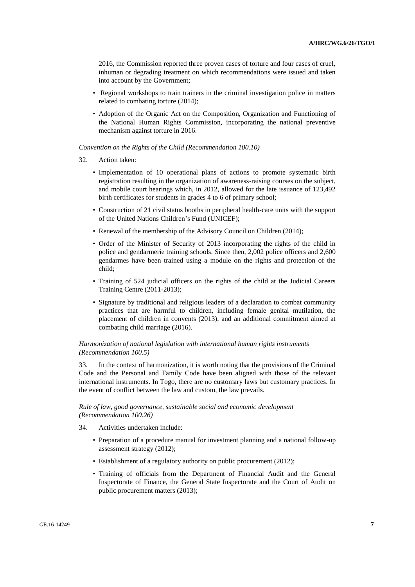2016, the Commission reported three proven cases of torture and four cases of cruel, inhuman or degrading treatment on which recommendations were issued and taken into account by the Government;

- Regional workshops to train trainers in the criminal investigation police in matters related to combating torture (2014);
- Adoption of the Organic Act on the Composition, Organization and Functioning of the National Human Rights Commission, incorporating the national preventive mechanism against torture in 2016.

#### *Convention on the Rights of the Child (Recommendation 100.10)*

- 32. Action taken:
	- Implementation of 10 operational plans of actions to promote systematic birth registration resulting in the organization of awareness-raising courses on the subject, and mobile court hearings which, in 2012, allowed for the late issuance of 123,492 birth certificates for students in grades 4 to 6 of primary school;
	- Construction of 21 civil status booths in peripheral health-care units with the support of the United Nations Children's Fund (UNICEF);
	- Renewal of the membership of the Advisory Council on Children (2014);
	- Order of the Minister of Security of 2013 incorporating the rights of the child in police and gendarmerie training schools. Since then, 2,002 police officers and 2,600 gendarmes have been trained using a module on the rights and protection of the child;
	- Training of 524 judicial officers on the rights of the child at the Judicial Careers Training Centre (2011-2013);
	- Signature by traditional and religious leaders of a declaration to combat community practices that are harmful to children, including female genital mutilation, the placement of children in convents (2013), and an additional commitment aimed at combating child marriage (2016).

#### *Harmonization of national legislation with international human rights instruments (Recommendation 100.5)*

33. In the context of harmonization, it is worth noting that the provisions of the Criminal Code and the Personal and Family Code have been aligned with those of the relevant international instruments. In Togo, there are no customary laws but customary practices. In the event of conflict between the law and custom, the law prevails.

#### *Rule of law, good governance, sustainable social and economic development (Recommendation 100.26)*

- 34. Activities undertaken include:
	- Preparation of a procedure manual for investment planning and a national follow-up assessment strategy (2012);
	- Establishment of a regulatory authority on public procurement (2012);
	- Training of officials from the Department of Financial Audit and the General Inspectorate of Finance, the General State Inspectorate and the Court of Audit on public procurement matters (2013);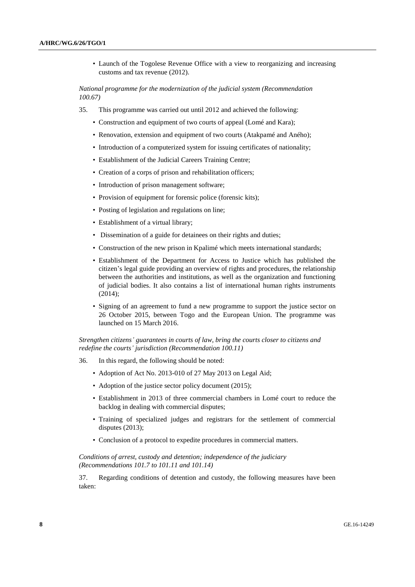• Launch of the Togolese Revenue Office with a view to reorganizing and increasing customs and tax revenue (2012).

*National programme for the modernization of the judicial system (Recommendation 100.67)*

- 35. This programme was carried out until 2012 and achieved the following:
	- Construction and equipment of two courts of appeal (Lomé and Kara);
	- Renovation, extension and equipment of two courts (Atakpamé and Aného);
	- Introduction of a computerized system for issuing certificates of nationality;
	- Establishment of the Judicial Careers Training Centre;
	- Creation of a corps of prison and rehabilitation officers;
	- Introduction of prison management software;
	- Provision of equipment for forensic police (forensic kits):
	- Posting of legislation and regulations on line;
	- Establishment of a virtual library;
	- Dissemination of a guide for detainees on their rights and duties;
	- Construction of the new prison in Kpalimé which meets international standards;
	- Establishment of the Department for Access to Justice which has published the citizen's legal guide providing an overview of rights and procedures, the relationship between the authorities and institutions, as well as the organization and functioning of judicial bodies. It also contains a list of international human rights instruments (2014);
	- Signing of an agreement to fund a new programme to support the justice sector on 26 October 2015, between Togo and the European Union. The programme was launched on 15 March 2016.

### *Strengthen citizens' guarantees in courts of law, bring the courts closer to citizens and redefine the courts' jurisdiction (Recommendation 100.11)*

- 36. In this regard, the following should be noted:
	- Adoption of Act No. 2013-010 of 27 May 2013 on Legal Aid;
	- Adoption of the justice sector policy document (2015);
	- Establishment in 2013 of three commercial chambers in Lomé court to reduce the backlog in dealing with commercial disputes;
	- Training of specialized judges and registrars for the settlement of commercial disputes (2013);
	- Conclusion of a protocol to expedite procedures in commercial matters.

### *Conditions of arrest, custody and detention; independence of the judiciary (Recommendations 101.7 to 101.11 and 101.14)*

37. Regarding conditions of detention and custody, the following measures have been taken: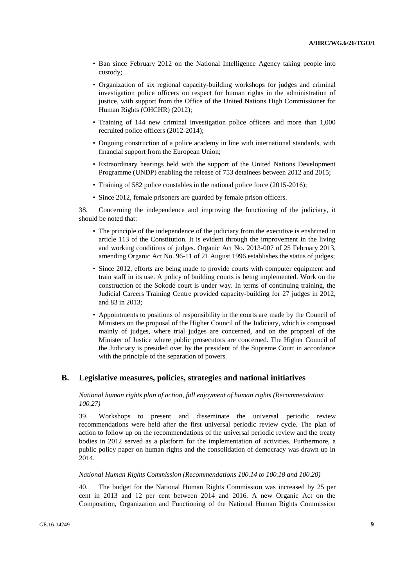- Ban since February 2012 on the National Intelligence Agency taking people into custody;
- Organization of six regional capacity-building workshops for judges and criminal investigation police officers on respect for human rights in the administration of justice, with support from the Office of the United Nations High Commissioner for Human Rights (OHCHR) (2012);
- Training of 144 new criminal investigation police officers and more than 1,000 recruited police officers (2012-2014);
- Ongoing construction of a police academy in line with international standards, with financial support from the European Union;
- Extraordinary hearings held with the support of the United Nations Development Programme (UNDP) enabling the release of 753 detainees between 2012 and 2015;
- Training of 582 police constables in the national police force (2015-2016);
- Since 2012, female prisoners are guarded by female prison officers.

38. Concerning the independence and improving the functioning of the judiciary, it should be noted that:

- The principle of the independence of the judiciary from the executive is enshrined in article 113 of the Constitution. It is evident through the improvement in the living and working conditions of judges. Organic Act No. 2013-007 of 25 February 2013, amending Organic Act No. 96-11 of 21 August 1996 establishes the status of judges;
- Since 2012, efforts are being made to provide courts with computer equipment and train staff in its use. A policy of building courts is being implemented. Work on the construction of the Sokodé court is under way. In terms of continuing training, the Judicial Careers Training Centre provided capacity-building for 27 judges in 2012, and 83 in 2013;
- Appointments to positions of responsibility in the courts are made by the Council of Ministers on the proposal of the Higher Council of the Judiciary, which is composed mainly of judges, where trial judges are concerned, and on the proposal of the Minister of Justice where public prosecutors are concerned. The Higher Council of the Judiciary is presided over by the president of the Supreme Court in accordance with the principle of the separation of powers.

### **B. Legislative measures, policies, strategies and national initiatives**

### *National human rights plan of action, full enjoyment of human rights (Recommendation 100.27)*

39. Workshops to present and disseminate the universal periodic review recommendations were held after the first universal periodic review cycle. The plan of action to follow up on the recommendations of the universal periodic review and the treaty bodies in 2012 served as a platform for the implementation of activities. Furthermore, a public policy paper on human rights and the consolidation of democracy was drawn up in 2014.

#### *National Human Rights Commission (Recommendations 100.14 to 100.18 and 100.20)*

40. The budget for the National Human Rights Commission was increased by 25 per cent in 2013 and 12 per cent between 2014 and 2016. A new Organic Act on the Composition, Organization and Functioning of the National Human Rights Commission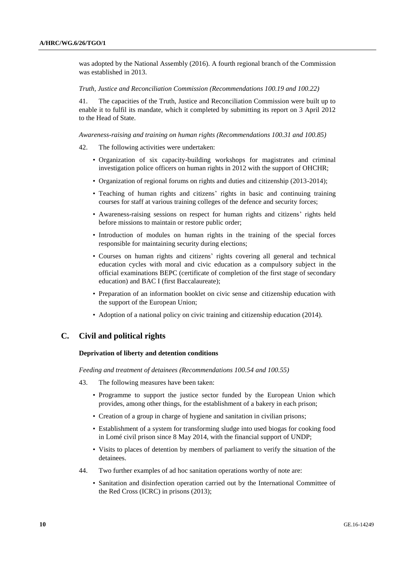was adopted by the National Assembly (2016). A fourth regional branch of the Commission was established in 2013.

#### *Truth, Justice and Reconciliation Commission (Recommendations 100.19 and 100.22)*

41. The capacities of the Truth, Justice and Reconciliation Commission were built up to enable it to fulfil its mandate, which it completed by submitting its report on 3 April 2012 to the Head of State.

*Awareness-raising and training on human rights (Recommendations 100.31 and 100.85)*

- 42. The following activities were undertaken:
	- Organization of six capacity-building workshops for magistrates and criminal investigation police officers on human rights in 2012 with the support of OHCHR;
	- Organization of regional forums on rights and duties and citizenship (2013-2014);
	- Teaching of human rights and citizens' rights in basic and continuing training courses for staff at various training colleges of the defence and security forces;
	- Awareness-raising sessions on respect for human rights and citizens' rights held before missions to maintain or restore public order;
	- Introduction of modules on human rights in the training of the special forces responsible for maintaining security during elections;
	- Courses on human rights and citizens' rights covering all general and technical education cycles with moral and civic education as a compulsory subject in the official examinations BEPC (certificate of completion of the first stage of secondary education) and BAC I (first Baccalaureate);
	- Preparation of an information booklet on civic sense and citizenship education with the support of the European Union;
	- Adoption of a national policy on civic training and citizenship education (2014).

### **C. Civil and political rights**

#### **Deprivation of liberty and detention conditions**

*Feeding and treatment of detainees (Recommendations 100.54 and 100.55)*

- 43. The following measures have been taken:
	- Programme to support the justice sector funded by the European Union which provides, among other things, for the establishment of a bakery in each prison;
	- Creation of a group in charge of hygiene and sanitation in civilian prisons;
	- Establishment of a system for transforming sludge into used biogas for cooking food in Lomé civil prison since 8 May 2014, with the financial support of UNDP;
	- Visits to places of detention by members of parliament to verify the situation of the detainees.
- 44. Two further examples of ad hoc sanitation operations worthy of note are:
	- Sanitation and disinfection operation carried out by the International Committee of the Red Cross (ICRC) in prisons (2013);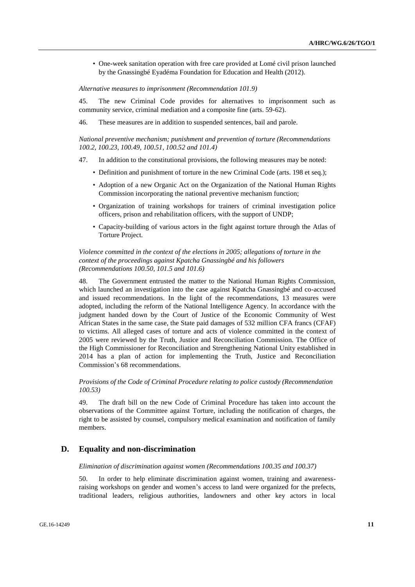• One-week sanitation operation with free care provided at Lomé civil prison launched by the Gnassingbé Eyadéma Foundation for Education and Health (2012).

#### *Alternative measures to imprisonment (Recommendation 101.9)*

45. The new Criminal Code provides for alternatives to imprisonment such as community service, criminal mediation and a composite fine (arts. 59-62).

46. These measures are in addition to suspended sentences, bail and parole.

*National preventive mechanism; punishment and prevention of torture (Recommendations 100.2, 100.23, 100.49, 100.51, 100.52 and 101.4)*

- 47. In addition to the constitutional provisions, the following measures may be noted:
	- Definition and punishment of torture in the new Criminal Code (arts. 198 et seq.);
	- Adoption of a new Organic Act on the Organization of the National Human Rights Commission incorporating the national preventive mechanism function;
	- Organization of training workshops for trainers of criminal investigation police officers, prison and rehabilitation officers, with the support of UNDP;
	- Capacity-building of various actors in the fight against torture through the Atlas of Torture Project.

### *Violence committed in the context of the elections in 2005; allegations of torture in the context of the proceedings against Kpatcha Gnassingbé and his followers (Recommendations 100.50, 101.5 and 101.6)*

48. The Government entrusted the matter to the National Human Rights Commission, which launched an investigation into the case against Kpatcha Gnassingbé and co-accused and issued recommendations. In the light of the recommendations, 13 measures were adopted, including the reform of the National Intelligence Agency. In accordance with the judgment handed down by the Court of Justice of the Economic Community of West African States in the same case, the State paid damages of 532 million CFA francs (CFAF) to victims. All alleged cases of torture and acts of violence committed in the context of 2005 were reviewed by the Truth, Justice and Reconciliation Commission. The Office of the High Commissioner for Reconciliation and Strengthening National Unity established in 2014 has a plan of action for implementing the Truth, Justice and Reconciliation Commission's 68 recommendations.

#### *Provisions of the Code of Criminal Procedure relating to police custody (Recommendation 100.53)*

49. The draft bill on the new Code of Criminal Procedure has taken into account the observations of the Committee against Torture, including the notification of charges, the right to be assisted by counsel, compulsory medical examination and notification of family members.

#### **D. Equality and non-discrimination**

#### *Elimination of discrimination against women (Recommendations 100.35 and 100.37)*

50. In order to help eliminate discrimination against women, training and awarenessraising workshops on gender and women's access to land were organized for the prefects, traditional leaders, religious authorities, landowners and other key actors in local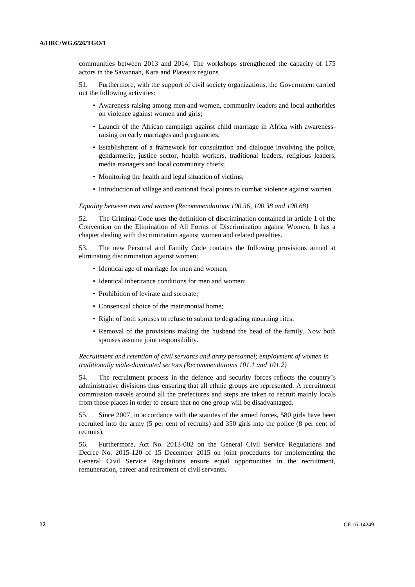communities between 2013 and 2014. The workshops strengthened the capacity of 175 actors in the Savannah, Kara and Plateaux regions.

51. Furthermore, with the support of civil society organizations, the Government carried out the following activities:

- Awareness-raising among men and women, community leaders and local authorities on violence against women and girls;
- Launch of the African campaign against child marriage in Africa with awarenessraising on early marriages and pregnancies;
- Establishment of a framework for consultation and dialogue involving the police, gendarmerie, justice sector, health workers, traditional leaders, religious leaders, media managers and local community chiefs;
- Monitoring the health and legal situation of victims;
- Introduction of village and cantonal focal points to combat violence against women.

#### *Equality between men and women (Recommendations 100.36, 100.38 and 100.68)*

52. The Criminal Code uses the definition of discrimination contained in article 1 of the Convention on the Elimination of All Forms of Discrimination against Women. It has a chapter dealing with discrimination against women and related penalties.

53. The new Personal and Family Code contains the following provisions aimed at eliminating discrimination against women:

- Identical age of marriage for men and women;
- Identical inheritance conditions for men and women;
- Prohibition of levirate and sororate;
- Consensual choice of the matrimonial home;
- Right of both spouses to refuse to submit to degrading mourning rites;
- Removal of the provisions making the husband the head of the family. Now both spouses assume joint responsibility.

*Recruitment and retention of civil servants and army personnel; employment of women in traditionally male-dominated sectors (Recommendations 101.1 and 101.2)*

54. The recruitment process in the defence and security forces reflects the country's administrative divisions thus ensuring that all ethnic groups are represented. A recruitment commission travels around all the prefectures and steps are taken to recruit mainly locals from those places in order to ensure that no one group will be disadvantaged.

55. Since 2007, in accordance with the statutes of the armed forces, 580 girls have been recruited into the army (5 per cent of recruits) and 350 girls into the police (8 per cent of recruits).

56. Furthermore, Act No. 2013-002 on the General Civil Service Regulations and Decree No. 2015-120 of 15 December 2015 on joint procedures for implementing the General Civil Service Regulations ensure equal opportunities in the recruitment, remuneration, career and retirement of civil servants.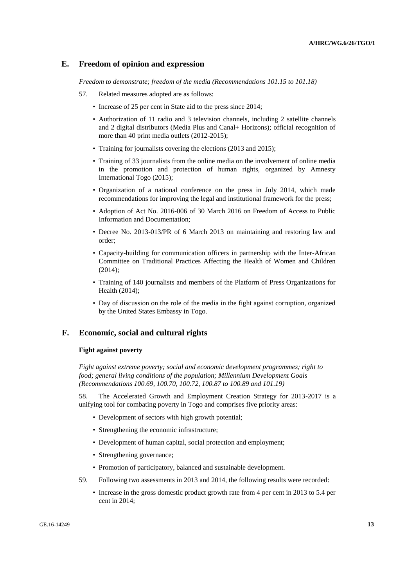### **E. Freedom of opinion and expression**

*Freedom to demonstrate; freedom of the media (Recommendations 101.15 to 101.18)*

- 57. Related measures adopted are as follows:
	- Increase of 25 per cent in State aid to the press since 2014;
	- Authorization of 11 radio and 3 television channels, including 2 satellite channels and 2 digital distributors (Media Plus and Canal+ Horizons); official recognition of more than 40 print media outlets (2012-2015);
	- Training for journalists covering the elections (2013 and 2015);
	- Training of 33 journalists from the online media on the involvement of online media in the promotion and protection of human rights, organized by Amnesty International Togo (2015);
	- Organization of a national conference on the press in July 2014, which made recommendations for improving the legal and institutional framework for the press;
	- Adoption of Act No. 2016-006 of 30 March 2016 on Freedom of Access to Public Information and Documentation;
	- Decree No. 2013-013/PR of 6 March 2013 on maintaining and restoring law and order;
	- Capacity-building for communication officers in partnership with the Inter-African Committee on Traditional Practices Affecting the Health of Women and Children (2014);
	- Training of 140 journalists and members of the Platform of Press Organizations for Health (2014);
	- Day of discussion on the role of the media in the fight against corruption, organized by the United States Embassy in Togo.

### **F. Economic, social and cultural rights**

#### **Fight against poverty**

*Fight against extreme poverty; social and economic development programmes; right to food; general living conditions of the population; Millennium Development Goals (Recommendations 100.69, 100.70, 100.72, 100.87 to 100.89 and 101.19)*

58. The Accelerated Growth and Employment Creation Strategy for 2013-2017 is a unifying tool for combating poverty in Togo and comprises five priority areas:

- Development of sectors with high growth potential;
- Strengthening the economic infrastructure;
- Development of human capital, social protection and employment;
- Strengthening governance;
- Promotion of participatory, balanced and sustainable development.
- 59. Following two assessments in 2013 and 2014, the following results were recorded:
	- Increase in the gross domestic product growth rate from 4 per cent in 2013 to 5.4 per cent in 2014;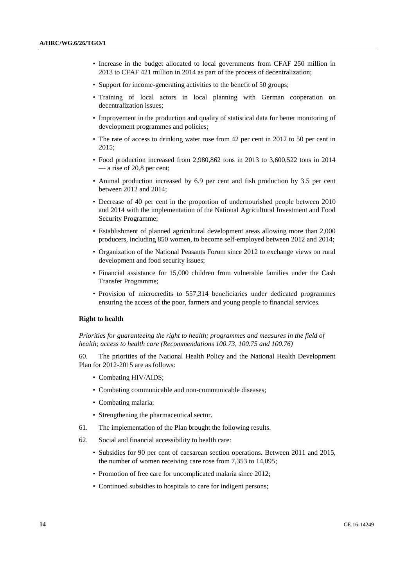- Increase in the budget allocated to local governments from CFAF 250 million in 2013 to CFAF 421 million in 2014 as part of the process of decentralization;
- Support for income-generating activities to the benefit of 50 groups;
- Training of local actors in local planning with German cooperation on decentralization issues;
- Improvement in the production and quality of statistical data for better monitoring of development programmes and policies;
- The rate of access to drinking water rose from 42 per cent in 2012 to 50 per cent in 2015;
- Food production increased from 2,980,862 tons in 2013 to 3,600,522 tons in 2014 — a rise of 20.8 per cent;
- Animal production increased by 6.9 per cent and fish production by 3.5 per cent between 2012 and 2014;
- Decrease of 40 per cent in the proportion of undernourished people between 2010 and 2014 with the implementation of the National Agricultural Investment and Food Security Programme;
- Establishment of planned agricultural development areas allowing more than 2,000 producers, including 850 women, to become self-employed between 2012 and 2014;
- Organization of the National Peasants Forum since 2012 to exchange views on rural development and food security issues;
- Financial assistance for 15,000 children from vulnerable families under the Cash Transfer Programme;
- Provision of microcredits to 557,314 beneficiaries under dedicated programmes ensuring the access of the poor, farmers and young people to financial services.

#### **Right to health**

*Priorities for guaranteeing the right to health; programmes and measures in the field of health; access to health care (Recommendations 100.73, 100.75 and 100.76)*

60. The priorities of the National Health Policy and the National Health Development Plan for 2012-2015 are as follows:

- Combating HIV/AIDS;
- Combating communicable and non-communicable diseases;
- Combating malaria;
- Strengthening the pharmaceutical sector.
- 61. The implementation of the Plan brought the following results.
- 62. Social and financial accessibility to health care:
	- Subsidies for 90 per cent of caesarean section operations. Between 2011 and 2015, the number of women receiving care rose from 7,353 to 14,095;
	- Promotion of free care for uncomplicated malaria since 2012;
	- Continued subsidies to hospitals to care for indigent persons;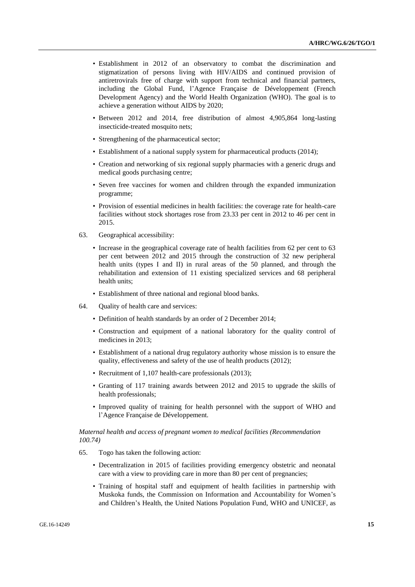- Establishment in 2012 of an observatory to combat the discrimination and stigmatization of persons living with HIV/AIDS and continued provision of antiretrovirals free of charge with support from technical and financial partners, including the Global Fund, l'Agence Française de Développement (French Development Agency) and the World Health Organization (WHO). The goal is to achieve a generation without AIDS by 2020;
- Between 2012 and 2014, free distribution of almost 4,905,864 long-lasting insecticide-treated mosquito nets;
- Strengthening of the pharmaceutical sector;
- Establishment of a national supply system for pharmaceutical products (2014);
- Creation and networking of six regional supply pharmacies with a generic drugs and medical goods purchasing centre;
- Seven free vaccines for women and children through the expanded immunization programme;
- Provision of essential medicines in health facilities: the coverage rate for health-care facilities without stock shortages rose from 23.33 per cent in 2012 to 46 per cent in 2015.
- 63. Geographical accessibility:
	- Increase in the geographical coverage rate of health facilities from 62 per cent to 63 per cent between 2012 and 2015 through the construction of 32 new peripheral health units (types I and II) in rural areas of the 50 planned, and through the rehabilitation and extension of 11 existing specialized services and 68 peripheral health units;
	- Establishment of three national and regional blood banks.
- 64. Quality of health care and services:
	- Definition of health standards by an order of 2 December 2014;
	- Construction and equipment of a national laboratory for the quality control of medicines in 2013;
	- Establishment of a national drug regulatory authority whose mission is to ensure the quality, effectiveness and safety of the use of health products (2012);
	- Recruitment of 1,107 health-care professionals (2013);
	- Granting of 117 training awards between 2012 and 2015 to upgrade the skills of health professionals;
	- Improved quality of training for health personnel with the support of WHO and l'Agence Française de Développement.

*Maternal health and access of pregnant women to medical facilities (Recommendation 100.74)*

- 65. Togo has taken the following action:
	- Decentralization in 2015 of facilities providing emergency obstetric and neonatal care with a view to providing care in more than 80 per cent of pregnancies;
	- Training of hospital staff and equipment of health facilities in partnership with Muskoka funds, the Commission on Information and Accountability for Women's and Children's Health, the United Nations Population Fund, WHO and UNICEF, as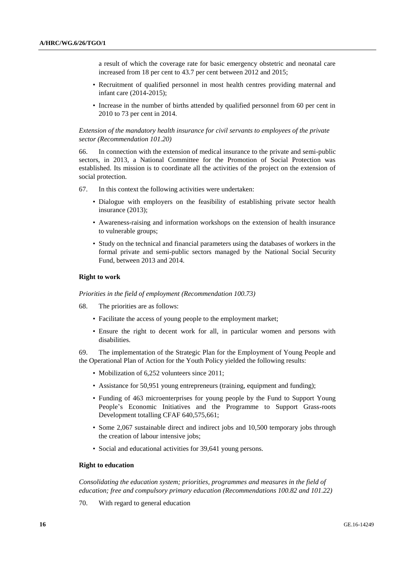a result of which the coverage rate for basic emergency obstetric and neonatal care increased from 18 per cent to 43.7 per cent between 2012 and 2015;

- Recruitment of qualified personnel in most health centres providing maternal and infant care (2014-2015);
- Increase in the number of births attended by qualified personnel from 60 per cent in 2010 to 73 per cent in 2014.

*Extension of the mandatory health insurance for civil servants to employees of the private sector (Recommendation 101.20)*

66. In connection with the extension of medical insurance to the private and semi-public sectors, in 2013, a National Committee for the Promotion of Social Protection was established. Its mission is to coordinate all the activities of the project on the extension of social protection.

- 67. In this context the following activities were undertaken:
	- Dialogue with employers on the feasibility of establishing private sector health insurance (2013);
	- Awareness-raising and information workshops on the extension of health insurance to vulnerable groups;
	- Study on the technical and financial parameters using the databases of workers in the formal private and semi-public sectors managed by the National Social Security Fund, between 2013 and 2014.

#### **Right to work**

*Priorities in the field of employment (Recommendation 100.73)*

- 68. The priorities are as follows:
	- Facilitate the access of young people to the employment market;
	- Ensure the right to decent work for all, in particular women and persons with disabilities.

69. The implementation of the Strategic Plan for the Employment of Young People and the Operational Plan of Action for the Youth Policy yielded the following results:

- Mobilization of 6,252 volunteers since 2011;
- Assistance for 50,951 young entrepreneurs (training, equipment and funding);
- Funding of 463 microenterprises for young people by the Fund to Support Young People's Economic Initiatives and the Programme to Support Grass-roots Development totalling CFAF 640,575,661;
- Some 2,067 sustainable direct and indirect jobs and 10,500 temporary jobs through the creation of labour intensive jobs;
- Social and educational activities for 39,641 young persons.

#### **Right to education**

*Consolidating the education system; priorities, programmes and measures in the field of education; free and compulsory primary education (Recommendations 100.82 and 101.22)*

70. With regard to general education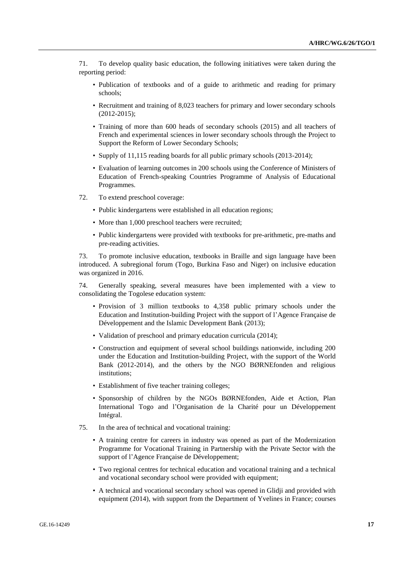71. To develop quality basic education, the following initiatives were taken during the reporting period:

- Publication of textbooks and of a guide to arithmetic and reading for primary schools;
- Recruitment and training of 8,023 teachers for primary and lower secondary schools (2012-2015);
- Training of more than 600 heads of secondary schools (2015) and all teachers of French and experimental sciences in lower secondary schools through the Project to Support the Reform of Lower Secondary Schools;
- Supply of 11,115 reading boards for all public primary schools (2013-2014);
- Evaluation of learning outcomes in 200 schools using the Conference of Ministers of Education of French-speaking Countries Programme of Analysis of Educational Programmes.
- 72. To extend preschool coverage:
	- Public kindergartens were established in all education regions;
	- More than 1,000 preschool teachers were recruited;
	- Public kindergartens were provided with textbooks for pre-arithmetic, pre-maths and pre-reading activities.

73. To promote inclusive education, textbooks in Braille and sign language have been introduced. A subregional forum (Togo, Burkina Faso and Niger) on inclusive education was organized in 2016.

74. Generally speaking, several measures have been implemented with a view to consolidating the Togolese education system:

- Provision of 3 million textbooks to 4,358 public primary schools under the Education and Institution-building Project with the support of l'Agence Française de Développement and the Islamic Development Bank (2013);
- Validation of preschool and primary education curricula (2014);
- Construction and equipment of several school buildings nationwide, including 200 under the Education and Institution-building Project, with the support of the World Bank (2012-2014), and the others by the NGO BØRNEfonden and religious institutions;
- Establishment of five teacher training colleges;
- Sponsorship of children by the NGOs BØRNEfonden, Aide et Action, Plan International Togo and l'Organisation de la Charité pour un Développement Intégral.
- 75. In the area of technical and vocational training:
	- A training centre for careers in industry was opened as part of the Modernization Programme for Vocational Training in Partnership with the Private Sector with the support of l'Agence Française de Développement;
	- Two regional centres for technical education and vocational training and a technical and vocational secondary school were provided with equipment;
	- A technical and vocational secondary school was opened in Glidji and provided with equipment (2014), with support from the Department of Yvelines in France; courses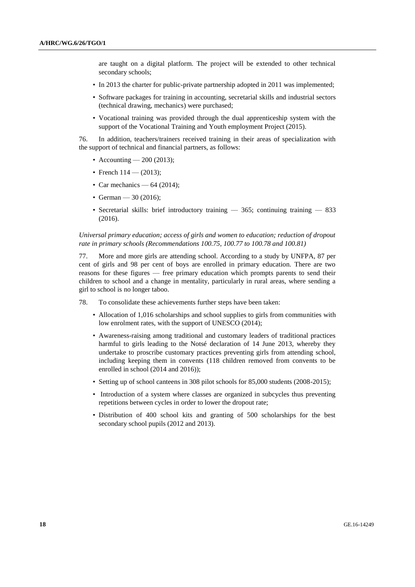are taught on a digital platform. The project will be extended to other technical secondary schools;

- In 2013 the charter for public-private partnership adopted in 2011 was implemented;
- Software packages for training in accounting, secretarial skills and industrial sectors (technical drawing, mechanics) were purchased;
- Vocational training was provided through the dual apprenticeship system with the support of the Vocational Training and Youth employment Project (2015).

76. In addition, teachers/trainers received training in their areas of specialization with the support of technical and financial partners, as follows:

- Accounting 200 (2013);
- French  $114 (2013)$ ;
- Car mechanics  $64$  (2014);
- German 30 (2016):
- Secretarial skills: brief introductory training 365; continuing training 833 (2016).

*Universal primary education; access of girls and women to education; reduction of dropout rate in primary schools (Recommendations 100.75, 100.77 to 100.78 and 100.81)*

77. More and more girls are attending school. According to a study by UNFPA, 87 per cent of girls and 98 per cent of boys are enrolled in primary education. There are two reasons for these figures — free primary education which prompts parents to send their children to school and a change in mentality, particularly in rural areas, where sending a girl to school is no longer taboo.

78. To consolidate these achievements further steps have been taken:

- Allocation of 1,016 scholarships and school supplies to girls from communities with low enrolment rates, with the support of UNESCO (2014);
- Awareness-raising among traditional and customary leaders of traditional practices harmful to girls leading to the Notsé declaration of 14 June 2013, whereby they undertake to proscribe customary practices preventing girls from attending school, including keeping them in convents (118 children removed from convents to be enrolled in school (2014 and 2016));
- Setting up of school canteens in 308 pilot schools for 85,000 students (2008-2015);
- Introduction of a system where classes are organized in subcycles thus preventing repetitions between cycles in order to lower the dropout rate;
- Distribution of 400 school kits and granting of 500 scholarships for the best secondary school pupils (2012 and 2013).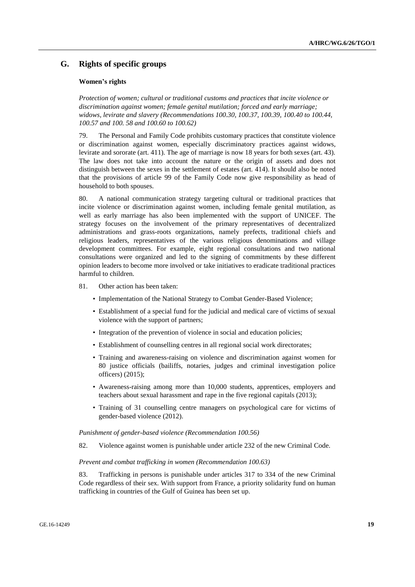### **G. Rights of specific groups**

#### **Women's rights**

*Protection of women; cultural or traditional customs and practices that incite violence or discrimination against women; female genital mutilation; forced and early marriage; widows, levirate and slavery (Recommendations 100.30, 100.37, 100.39, 100.40 to 100.44, 100.57 and 100. 58 and 100.60 to 100.62)*

79. The Personal and Family Code prohibits customary practices that constitute violence or discrimination against women, especially discriminatory practices against widows, levirate and sororate (art. 411). The age of marriage is now 18 years for both sexes (art. 43). The law does not take into account the nature or the origin of assets and does not distinguish between the sexes in the settlement of estates (art. 414). It should also be noted that the provisions of article 99 of the Family Code now give responsibility as head of household to both spouses.

80. A national communication strategy targeting cultural or traditional practices that incite violence or discrimination against women, including female genital mutilation, as well as early marriage has also been implemented with the support of UNICEF. The strategy focuses on the involvement of the primary representatives of decentralized administrations and grass-roots organizations, namely prefects, traditional chiefs and religious leaders, representatives of the various religious denominations and village development committees. For example, eight regional consultations and two national consultations were organized and led to the signing of commitments by these different opinion leaders to become more involved or take initiatives to eradicate traditional practices harmful to children.

- 81. Other action has been taken:
	- Implementation of the National Strategy to Combat Gender-Based Violence;
	- Establishment of a special fund for the judicial and medical care of victims of sexual violence with the support of partners;
	- Integration of the prevention of violence in social and education policies;
	- Establishment of counselling centres in all regional social work directorates;
	- Training and awareness-raising on violence and discrimination against women for 80 justice officials (bailiffs, notaries, judges and criminal investigation police officers) (2015);
	- Awareness-raising among more than 10,000 students, apprentices, employers and teachers about sexual harassment and rape in the five regional capitals (2013);
	- Training of 31 counselling centre managers on psychological care for victims of gender-based violence (2012).

#### *Punishment of gender-based violence (Recommendation 100.56)*

82. Violence against women is punishable under article 232 of the new Criminal Code.

#### *Prevent and combat trafficking in women (Recommendation 100.63)*

83. Trafficking in persons is punishable under articles 317 to 334 of the new Criminal Code regardless of their sex. With support from France, a priority solidarity fund on human trafficking in countries of the Gulf of Guinea has been set up.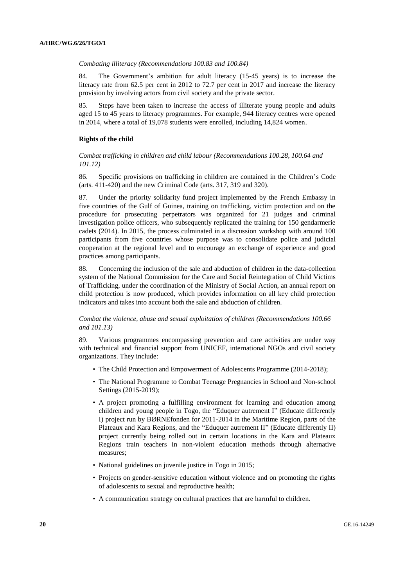*Combating illiteracy (Recommendations 100.83 and 100.84)*

84. The Government's ambition for adult literacy (15-45 years) is to increase the literacy rate from 62.5 per cent in 2012 to 72.7 per cent in 2017 and increase the literacy provision by involving actors from civil society and the private sector.

Steps have been taken to increase the access of illiterate young people and adults aged 15 to 45 years to literacy programmes. For example, 944 literacy centres were opened in 2014, where a total of 19,078 students were enrolled, including 14,824 women.

#### **Rights of the child**

*Combat trafficking in children and child labour (Recommendations 100.28, 100.64 and 101.12)*

86. Specific provisions on trafficking in children are contained in the Children's Code (arts. 411-420) and the new Criminal Code (arts. 317, 319 and 320).

87. Under the priority solidarity fund project implemented by the French Embassy in five countries of the Gulf of Guinea, training on trafficking, victim protection and on the procedure for prosecuting perpetrators was organized for 21 judges and criminal investigation police officers, who subsequently replicated the training for 150 gendarmerie cadets (2014). In 2015, the process culminated in a discussion workshop with around 100 participants from five countries whose purpose was to consolidate police and judicial cooperation at the regional level and to encourage an exchange of experience and good practices among participants.

88. Concerning the inclusion of the sale and abduction of children in the data-collection system of the National Commission for the Care and Social Reintegration of Child Victims of Trafficking, under the coordination of the Ministry of Social Action, an annual report on child protection is now produced, which provides information on all key child protection indicators and takes into account both the sale and abduction of children.

*Combat the violence, abuse and sexual exploitation of children (Recommendations 100.66 and 101.13)*

89. Various programmes encompassing prevention and care activities are under way with technical and financial support from UNICEF, international NGOs and civil society organizations. They include:

- The Child Protection and Empowerment of Adolescents Programme (2014-2018);
- The National Programme to Combat Teenage Pregnancies in School and Non-school Settings (2015-2019);
- A project promoting a fulfilling environment for learning and education among children and young people in Togo, the "Eduquer autrement I" (Educate differently I) project run by BØRNEfonden for 2011-2014 in the Maritime Region, parts of the Plateaux and Kara Regions, and the "Eduquer autrement II" (Educate differently II) project currently being rolled out in certain locations in the Kara and Plateaux Regions train teachers in non-violent education methods through alternative measures;
- National guidelines on juvenile justice in Togo in 2015;
- Projects on gender-sensitive education without violence and on promoting the rights of adolescents to sexual and reproductive health;
- A communication strategy on cultural practices that are harmful to children.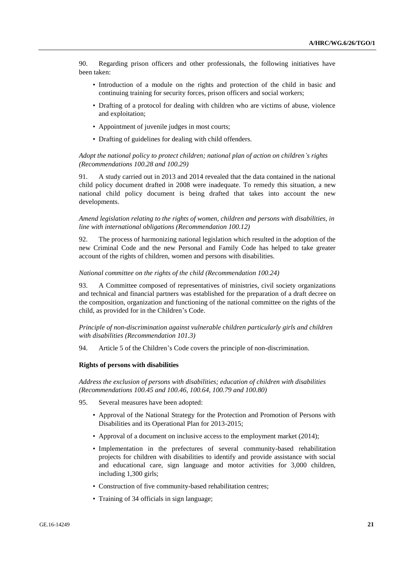90. Regarding prison officers and other professionals, the following initiatives have been taken:

- Introduction of a module on the rights and protection of the child in basic and continuing training for security forces, prison officers and social workers;
- Drafting of a protocol for dealing with children who are victims of abuse, violence and exploitation;
- Appointment of juvenile judges in most courts;
- Drafting of guidelines for dealing with child offenders.

#### *Adopt the national policy to protect children; national plan of action on children's rights (Recommendations 100.28 and 100.29)*

91. A study carried out in 2013 and 2014 revealed that the data contained in the national child policy document drafted in 2008 were inadequate. To remedy this situation, a new national child policy document is being drafted that takes into account the new developments.

*Amend legislation relating to the rights of women, children and persons with disabilities, in line with international obligations (Recommendation 100.12)*

92. The process of harmonizing national legislation which resulted in the adoption of the new Criminal Code and the new Personal and Family Code has helped to take greater account of the rights of children, women and persons with disabilities.

#### *National committee on the rights of the child (Recommendation 100.24)*

93. A Committee composed of representatives of ministries, civil society organizations and technical and financial partners was established for the preparation of a draft decree on the composition, organization and functioning of the national committee on the rights of the child, as provided for in the Children's Code.

*Principle of non-discrimination against vulnerable children particularly girls and children with disabilities (Recommendation 101.3)*

94. Article 5 of the Children's Code covers the principle of non-discrimination.

#### **Rights of persons with disabilities**

*Address the exclusion of persons with disabilities; education of children with disabilities (Recommendations 100.45 and 100.46, 100.64, 100.79 and 100.80)*

- 95. Several measures have been adopted:
	- Approval of the National Strategy for the Protection and Promotion of Persons with Disabilities and its Operational Plan for 2013-2015;
	- Approval of a document on inclusive access to the employment market (2014);
	- Implementation in the prefectures of several community-based rehabilitation projects for children with disabilities to identify and provide assistance with social and educational care, sign language and motor activities for 3,000 children, including 1,300 girls;
	- Construction of five community-based rehabilitation centres;
	- Training of 34 officials in sign language;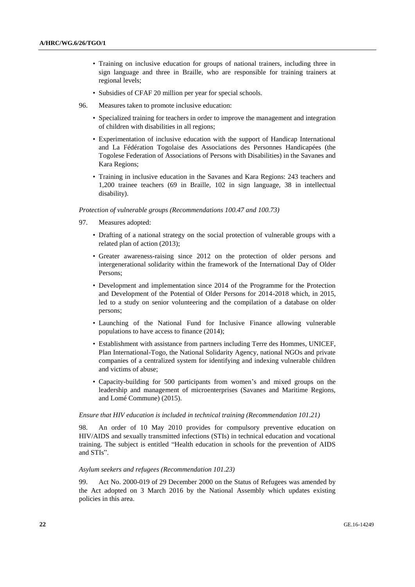- Training on inclusive education for groups of national trainers, including three in sign language and three in Braille, who are responsible for training trainers at regional levels;
- Subsidies of CFAF 20 million per year for special schools.
- 96. Measures taken to promote inclusive education:
	- Specialized training for teachers in order to improve the management and integration of children with disabilities in all regions;
	- Experimentation of inclusive education with the support of Handicap International and La Fédération Togolaise des Associations des Personnes Handicapées (the Togolese Federation of Associations of Persons with Disabilities) in the Savanes and Kara Regions;
	- Training in inclusive education in the Savanes and Kara Regions: 243 teachers and 1,200 trainee teachers (69 in Braille, 102 in sign language, 38 in intellectual disability).

*Protection of vulnerable groups (Recommendations 100.47 and 100.73)*

- 97. Measures adopted:
	- Drafting of a national strategy on the social protection of vulnerable groups with a related plan of action (2013);
	- Greater awareness-raising since 2012 on the protection of older persons and intergenerational solidarity within the framework of the International Day of Older Persons;
	- Development and implementation since 2014 of the Programme for the Protection and Development of the Potential of Older Persons for 2014-2018 which, in 2015, led to a study on senior volunteering and the compilation of a database on older persons;
	- Launching of the National Fund for Inclusive Finance allowing vulnerable populations to have access to finance (2014);
	- Establishment with assistance from partners including Terre des Hommes, UNICEF, Plan International-Togo, the National Solidarity Agency, national NGOs and private companies of a centralized system for identifying and indexing vulnerable children and victims of abuse;
	- Capacity-building for 500 participants from women's and mixed groups on the leadership and management of microenterprises (Savanes and Maritime Regions, and Lomé Commune) (2015).

#### *Ensure that HIV education is included in technical training (Recommendation 101.21)*

98. An order of 10 May 2010 provides for compulsory preventive education on HIV/AIDS and sexually transmitted infections (STIs) in technical education and vocational training. The subject is entitled "Health education in schools for the prevention of AIDS and STIs".

#### *Asylum seekers and refugees (Recommendation 101.23)*

99. Act No. 2000-019 of 29 December 2000 on the Status of Refugees was amended by the Act adopted on 3 March 2016 by the National Assembly which updates existing policies in this area.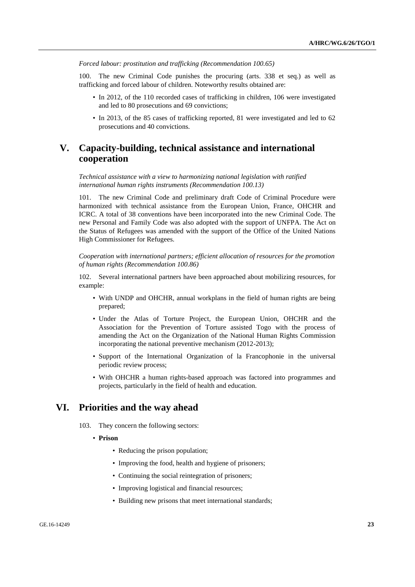*Forced labour: prostitution and trafficking (Recommendation 100.65)*

100. The new Criminal Code punishes the procuring (arts. 338 et seq.) as well as trafficking and forced labour of children. Noteworthy results obtained are:

- In 2012, of the 110 recorded cases of trafficking in children, 106 were investigated and led to 80 prosecutions and 69 convictions;
- In 2013, of the 85 cases of trafficking reported, 81 were investigated and led to 62 prosecutions and 40 convictions.

# **V. Capacity-building, technical assistance and international cooperation**

*Technical assistance with a view to harmonizing national legislation with ratified international human rights instruments (Recommendation 100.13)*

The new Criminal Code and preliminary draft Code of Criminal Procedure were harmonized with technical assistance from the European Union, France, OHCHR and ICRC. A total of 38 conventions have been incorporated into the new Criminal Code. The new Personal and Family Code was also adopted with the support of UNFPA. The Act on the Status of Refugees was amended with the support of the Office of the United Nations High Commissioner for Refugees.

*Cooperation with international partners; efficient allocation of resources for the promotion of human rights (Recommendation 100.86)*

102. Several international partners have been approached about mobilizing resources, for example:

- With UNDP and OHCHR, annual workplans in the field of human rights are being prepared;
- Under the Atlas of Torture Project, the European Union, OHCHR and the Association for the Prevention of Torture assisted Togo with the process of amending the Act on the Organization of the National Human Rights Commission incorporating the national preventive mechanism (2012-2013);
- Support of the International Organization of la Francophonie in the universal periodic review process;
- With OHCHR a human rights-based approach was factored into programmes and projects, particularly in the field of health and education.

## **VI. Priorities and the way ahead**

- 103. They concern the following sectors:
	- **Prison**
		- Reducing the prison population;
		- Improving the food, health and hygiene of prisoners;
		- Continuing the social reintegration of prisoners;
		- Improving logistical and financial resources;
		- Building new prisons that meet international standards;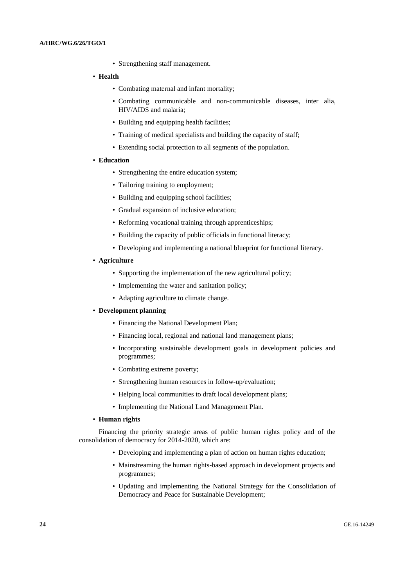• Strengthening staff management.

#### • **Health**

- Combating maternal and infant mortality;
- Combating communicable and non-communicable diseases, inter alia, HIV/AIDS and malaria;
- Building and equipping health facilities;
- Training of medical specialists and building the capacity of staff;
- Extending social protection to all segments of the population.

#### • **Education**

- Strengthening the entire education system;
- Tailoring training to employment;
- Building and equipping school facilities:
- Gradual expansion of inclusive education;
- Reforming vocational training through apprenticeships;
- Building the capacity of public officials in functional literacy;
- Developing and implementing a national blueprint for functional literacy.

#### • **Agriculture**

- Supporting the implementation of the new agricultural policy;
- Implementing the water and sanitation policy;
- Adapting agriculture to climate change.

#### • **Development planning**

- Financing the National Development Plan;
- Financing local, regional and national land management plans;
- Incorporating sustainable development goals in development policies and programmes;
- Combating extreme poverty;
- Strengthening human resources in follow-up/evaluation;
- Helping local communities to draft local development plans;
- Implementing the National Land Management Plan.

#### • **Human rights**

Financing the priority strategic areas of public human rights policy and of the consolidation of democracy for 2014-2020, which are:

- Developing and implementing a plan of action on human rights education;
- Mainstreaming the human rights-based approach in development projects and programmes;
- Updating and implementing the National Strategy for the Consolidation of Democracy and Peace for Sustainable Development;